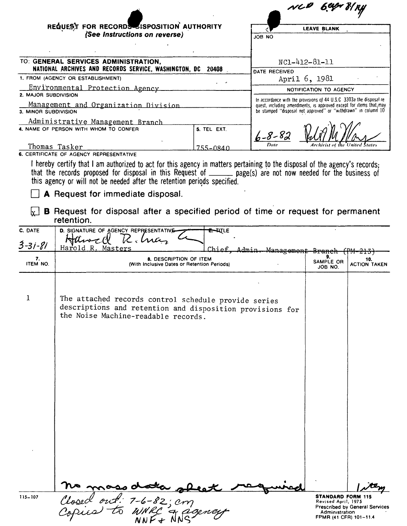|                          |                                                                                                                                                                                                                                                                                                                            |                    |                        | NLP 69pr                                                                                                                                                                                                      | 81 RY                          |
|--------------------------|----------------------------------------------------------------------------------------------------------------------------------------------------------------------------------------------------------------------------------------------------------------------------------------------------------------------------|--------------------|------------------------|---------------------------------------------------------------------------------------------------------------------------------------------------------------------------------------------------------------|--------------------------------|
|                          | REQUEST FOR RECORDS ISPOSITION AUTHORITY<br>(See Instructions on reverse)                                                                                                                                                                                                                                                  |                    | <b>JOB NO</b>          | <b>LEAVE BLANK</b>                                                                                                                                                                                            |                                |
|                          |                                                                                                                                                                                                                                                                                                                            |                    |                        |                                                                                                                                                                                                               |                                |
|                          | TO: GENERAL SERVICES ADMINISTRATION,                                                                                                                                                                                                                                                                                       |                    |                        | NC1-412-81-11                                                                                                                                                                                                 |                                |
|                          | NATIONAL ARCHIVES AND RECORDS SERVICE, WASHINGTON, DC<br>1. FROM (AGENCY OR ESTABLISHMENT)                                                                                                                                                                                                                                 | 20408              | DATE RECEIVED          | April 6, 1981                                                                                                                                                                                                 |                                |
| 2. MAJOR SUBDIVISION     | Environmental Protection Agency                                                                                                                                                                                                                                                                                            |                    |                        | NOTIFICATION TO AGENCY                                                                                                                                                                                        |                                |
| 3. MINOR SUBDIVISION     | Management and Organization Division                                                                                                                                                                                                                                                                                       |                    |                        | In accordance with the provisions of 44 U.S.C 3303a the disposal re-<br>quest, including amendments, is approved except for items that, may<br>be stamped "disposal not approved" or "withdrawn" in column 10 |                                |
|                          | Administrative Management Branch<br>4. NAME OF PERSON WITH WHOM TO CONFER                                                                                                                                                                                                                                                  | 5. TEL EXT.        |                        |                                                                                                                                                                                                               |                                |
|                          |                                                                                                                                                                                                                                                                                                                            |                    | $6 - 8 - 82$           |                                                                                                                                                                                                               |                                |
|                          | Thomas Tasker<br>6. CERTIFICATE OF AGENCY REPRESENTATIVE                                                                                                                                                                                                                                                                   | 255–0840           |                        |                                                                                                                                                                                                               |                                |
|                          | I hereby certify that I am authorized to act for this agency in matters pertaining to the disposal of the agency's records;<br>that the records proposed for disposal in this Request of ______ page(s) are not now needed for the business of<br>this agency or will not be needed after the retention periods specified. |                    |                        |                                                                                                                                                                                                               |                                |
|                          | <b>A</b> Request for immediate disposal.                                                                                                                                                                                                                                                                                   |                    |                        |                                                                                                                                                                                                               |                                |
| lv '                     | B Request for disposal after a specified period of time or request for permanent<br>retention.                                                                                                                                                                                                                             |                    |                        |                                                                                                                                                                                                               |                                |
| C. DATE<br>$3 - 31 - 81$ | D. SIGNATURE OF AGENCY REPRESENTATIVE<br>Hiliwa<br>Harold R. Masters                                                                                                                                                                                                                                                       | <del>E. W</del> LE | Chief Admin Management |                                                                                                                                                                                                               |                                |
| 7.<br>ITEM NO.           | 8. DESCRIPTION OF ITEM<br>(With Inclusive Dates or Retention Periods)                                                                                                                                                                                                                                                      |                    |                        | 9.<br>SAMPLE OR<br>JOB NO.                                                                                                                                                                                    | 10.<br><b>ACTION TAKEN</b>     |
|                          |                                                                                                                                                                                                                                                                                                                            |                    |                        |                                                                                                                                                                                                               |                                |
| 1                        | The attached records control schedule provide series<br>descriptions and retention and disposition provisions for<br>the Noise Machine-readable records.                                                                                                                                                                   |                    |                        |                                                                                                                                                                                                               |                                |
|                          |                                                                                                                                                                                                                                                                                                                            |                    |                        |                                                                                                                                                                                                               |                                |
|                          |                                                                                                                                                                                                                                                                                                                            |                    |                        |                                                                                                                                                                                                               |                                |
|                          |                                                                                                                                                                                                                                                                                                                            |                    |                        |                                                                                                                                                                                                               |                                |
|                          |                                                                                                                                                                                                                                                                                                                            |                    |                        |                                                                                                                                                                                                               |                                |
|                          |                                                                                                                                                                                                                                                                                                                            |                    |                        |                                                                                                                                                                                                               |                                |
|                          |                                                                                                                                                                                                                                                                                                                            |                    |                        |                                                                                                                                                                                                               |                                |
|                          |                                                                                                                                                                                                                                                                                                                            |                    |                        |                                                                                                                                                                                                               |                                |
|                          |                                                                                                                                                                                                                                                                                                                            |                    |                        |                                                                                                                                                                                                               |                                |
|                          |                                                                                                                                                                                                                                                                                                                            |                    |                        |                                                                                                                                                                                                               |                                |
|                          |                                                                                                                                                                                                                                                                                                                            |                    |                        |                                                                                                                                                                                                               |                                |
|                          |                                                                                                                                                                                                                                                                                                                            |                    |                        |                                                                                                                                                                                                               |                                |
| 115-107                  |                                                                                                                                                                                                                                                                                                                            |                    |                        | <b>STANDARD FORM 115</b><br>Revised April, 1975                                                                                                                                                               |                                |
|                          | no mass data sheat<br>Closed out: 7-6-82; cm<br>Copics to WNRC & agence                                                                                                                                                                                                                                                    |                    |                        | Administration<br>FPMR (41 CFR) 101-11.4                                                                                                                                                                      | Prescribed by General Services |

115-107